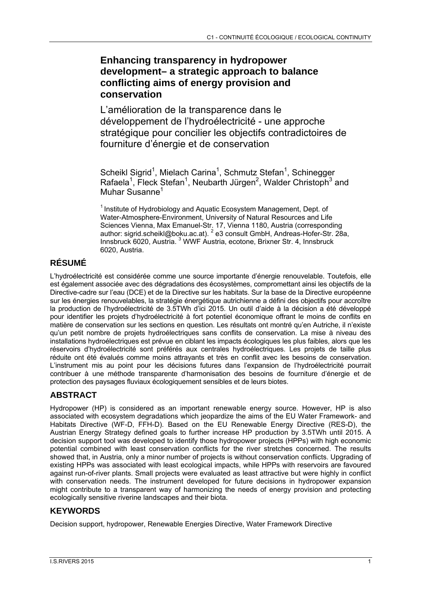## **Enhancing transparency in hydropower development– a strategic approach to balance conflicting aims of energy provision and conservation**

L'amélioration de la transparence dans le développement de l'hydroélectricité - une approche stratégique pour concilier les objectifs contradictoires de fourniture d'énergie et de conservation

Scheikl Sigrid<sup>1</sup>, Mielach Carina<sup>1</sup>, Schmutz Stefan<sup>1</sup>, Schinegger Rafaela<sup>1</sup>, Fleck Stefan<sup>1</sup>, Neubarth Jürgen<sup>2</sup>, Walder Christoph<sup>3</sup> and Muhar Susanne<sup>1</sup>

 $1$  Institute of Hydrobiology and Aquatic Ecosystem Management, Dept. of Water-Atmosphere-Environment, University of Natural Resources and Life Sciences Vienna, Max Emanuel-Str. 17, Vienna 1180, Austria (corresponding author: sigrid.scheikl@boku.ac.at). <sup>2</sup> e3 consult GmbH, Andreas-Hofer-Str. 28a, Innsbruck 6020, Austria.<sup>3</sup> WWF Austria, ecotone, Brixner Str. 4, Innsbruck 6020, Austria.

# **RÉSUMÉ**

L'hydroélectricité est considérée comme une source importante d'énergie renouvelable. Toutefois, elle est également associée avec des dégradations des écosystèmes, compromettant ainsi les objectifs de la Directive-cadre sur l'eau (DCE) et de la Directive sur les habitats. Sur la base de la Directive européenne sur les énergies renouvelables, la stratégie énergétique autrichienne a défini des objectifs pour accroître la production de l'hydroélectricité de 3.5TWh d'ici 2015. Un outil d'aide à la décision a été développé pour identifier les projets d'hydroélectricité à fort potentiel économique offrant le moins de conflits en matière de conservation sur les sections en question. Les résultats ont montré qu'en Autriche, il n'existe qu'un petit nombre de projets hydroélectriques sans conflits de conservation. La mise à niveau des installations hydroélectriques est prévue en ciblant les impacts écologiques les plus faibles, alors que les réservoirs d'hydroélectricité sont préférés aux centrales hydroélectriques. Les projets de taille plus réduite ont été évalués comme moins attrayants et très en conflit avec les besoins de conservation. L'instrument mis au point pour les décisions futures dans l'expansion de l'hydroélectricité pourrait contribuer à une méthode transparente d'harmonisation des besoins de fourniture d'énergie et de protection des paysages fluviaux écologiquement sensibles et de leurs biotes.

## **ABSTRACT**

Hydropower (HP) is considered as an important renewable energy source. However, HP is also associated with ecosystem degradations which jeopardize the aims of the EU Water Framework- and Habitats Directive (WF-D, FFH-D). Based on the EU Renewable Energy Directive (RES-D), the Austrian Energy Strategy defined goals to further increase HP production by 3.5TWh until 2015. A decision support tool was developed to identify those hydropower projects (HPPs) with high economic potential combined with least conservation conflicts for the river stretches concerned. The results showed that, in Austria, only a minor number of projects is without conservation conflicts. Upgrading of existing HPPs was associated with least ecological impacts, while HPPs with reservoirs are favoured against run-of-river plants. Small projects were evaluated as least attractive but were highly in conflict with conservation needs. The instrument developed for future decisions in hydropower expansion might contribute to a transparent way of harmonizing the needs of energy provision and protecting ecologically sensitive riverine landscapes and their biota.

## **KEYWORDS**

Decision support, hydropower, Renewable Energies Directive, Water Framework Directive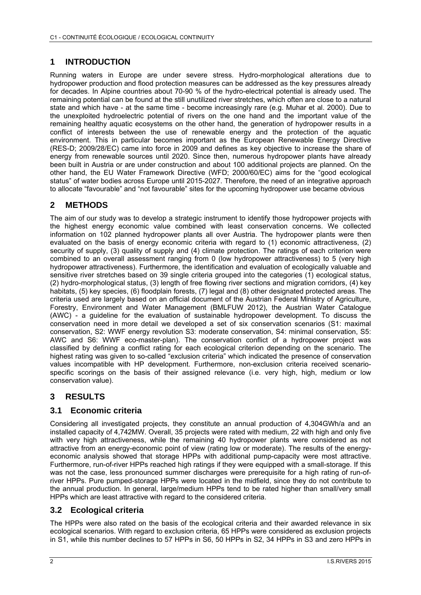### **1 INTRODUCTION**

Running waters in Europe are under severe stress. Hydro-morphological alterations due to hydropower production and flood protection measures can be addressed as the key pressures already for decades. In Alpine countries about 70-90 % of the hydro-electrical potential is already used. The remaining potential can be found at the still unutilized river stretches, which often are close to a natural state and which have - at the same time - become increasingly rare (e.g. Muhar et al. 2000). Due to the unexploited hydroelectric potential of rivers on the one hand and the important value of the remaining healthy aquatic ecosystems on the other hand, the generation of hydropower results in a conflict of interests between the use of renewable energy and the protection of the aquatic environment. This in particular becomes important as the European Renewable Energy Directive (RES-D; 2009/28/EC) came into force in 2009 and defines as key objective to increase the share of energy from renewable sources until 2020. Since then, numerous hydropower plants have already been built in Austria or are under construction and about 100 additional projects are planned. On the other hand, the EU Water Framework Directive (WFD; 2000/60/EC) aims for the "good ecological status" of water bodies across Europe until 2015-2027. Therefore, the need of an integrative approach to allocate "favourable" and "not favourable" sites for the upcoming hydropower use became obvious

### **2 METHODS**

The aim of our study was to develop a strategic instrument to identify those hydropower projects with the highest energy economic value combined with least conservation concerns. We collected information on 102 planned hydropower plants all over Austria. The hydropower plants were then evaluated on the basis of energy economic criteria with regard to (1) economic attractiveness, (2) security of supply, (3) quality of supply and (4) climate protection. The ratings of each criterion were combined to an overall assessment ranging from 0 (low hydropower attractiveness) to 5 (very high hydropower attractiveness). Furthermore, the identification and evaluation of ecologically valuable and sensitive river stretches based on 39 single criteria grouped into the categories (1) ecological status, (2) hydro-morphological status, (3) length of free flowing river sections and migration corridors, (4) key habitats, (5) key species, (6) floodplain forests, (7) legal and (8) other designated protected areas. The criteria used are largely based on an official document of the Austrian Federal Ministry of Agriculture, Forestry, Environment and Water Management (BMLFUW 2012), the Austrian Water Catalogue (AWC) - a guideline for the evaluation of sustainable hydropower development. To discuss the conservation need in more detail we developed a set of six conservation scenarios (S1: maximal conservation, S2: WWF energy revolution S3: moderate conservation, S4: minimal conservation, S5: AWC and S6: WWF eco-master-plan). The conservation conflict of a hydropower project was classified by defining a conflict rating for each ecological criterion depending on the scenario. The highest rating was given to so-called "exclusion criteria" which indicated the presence of conservation values incompatible with HP development. Furthermore, non-exclusion criteria received scenariospecific scorings on the basis of their assigned relevance (i.e. very high, high, medium or low conservation value).

## **3 RESULTS**

### **3.1 Economic criteria**

Considering all investigated projects, they constitute an annual production of 4,304GWh/a and an installed capacity of 4,742MW. Overall, 35 projects were rated with medium, 22 with high and only five with very high attractiveness, while the remaining 40 hydropower plants were considered as not attractive from an energy-economic point of view (rating low or moderate). The results of the energyeconomic analysis showed that storage HPPs with additional pump-capacity were most attractive. Furthermore, run-of-river HPPs reached high ratings if they were equipped with a small-storage. If this was not the case, less pronounced summer discharges were prerequisite for a high rating of run-ofriver HPPs. Pure pumped-storage HPPs were located in the midfield, since they do not contribute to the annual production. In general, large/medium HPPs tend to be rated higher than small/very small HPPs which are least attractive with regard to the considered criteria.

### **3.2 Ecological criteria**

The HPPs were also rated on the basis of the ecological criteria and their awarded relevance in six ecological scenarios. With regard to exclusion criteria, 65 HPPs were considered as exclusion projects in S1, while this number declines to 57 HPPs in S6, 50 HPPs in S2, 34 HPPs in S3 and zero HPPs in